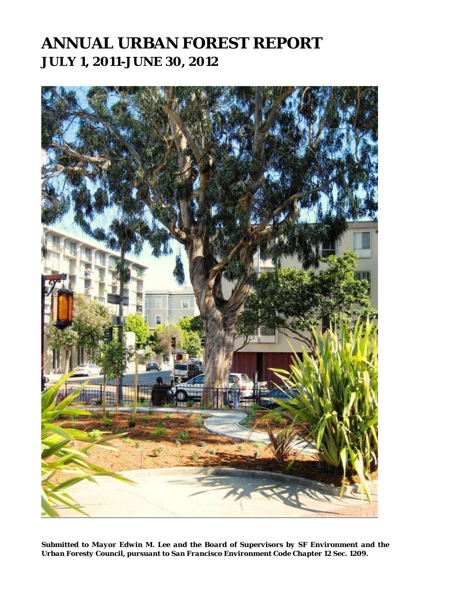## **ANNUAL URBAN FOREST REPORT JULY 1, 2011-JUNE 30, 2012**

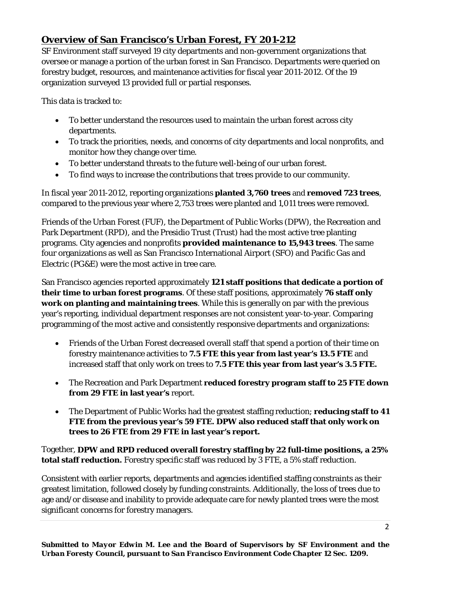## **Overview of San Francisco's Urban Forest, FY 201-212**

SF Environment staff surveyed 19 city departments and non-government organizations that oversee or manage a portion of the urban forest in San Francisco. Departments were queried on forestry budget, resources, and maintenance activities for fiscal year 2011-2012. Of the 19 organization surveyed 13 provided full or partial responses.

This data is tracked to:

- To better understand the resources used to maintain the urban forest across city departments.
- To track the priorities, needs, and concerns of city departments and local nonprofits, and monitor how they change over time.
- To better understand threats to the future well-being of our urban forest.
- To find ways to increase the contributions that trees provide to our community.

In fiscal year 2011-2012, reporting organizations **planted 3,760 trees** and **removed 723 trees**, compared to the previous year where 2,753 trees were planted and 1,011 trees were removed.

Friends of the Urban Forest (FUF), the Department of Public Works (DPW), the Recreation and Park Department (RPD), and the Presidio Trust (Trust) had the most active tree planting programs. City agencies and nonprofits **provided maintenance to 15,943 trees**. The same four organizations as well as San Francisco International Airport (SFO) and Pacific Gas and Electric (PG&E) were the most active in tree care.

San Francisco agencies reported approximately **121 staff positions that dedicate a portion of their time to urban forest programs**. Of these staff positions, approximately **76 staff only work on planting and maintaining trees**. While this is generally on par with the previous year's reporting, individual department responses are not consistent year-to-year. Comparing programming of the most active and consistently responsive departments and organizations:

- Friends of the Urban Forest decreased overall staff that spend a portion of their time on forestry maintenance activities to **7.5 FTE this year from last year's 13.5 FTE** and increased staff that only work on trees to **7.5 FTE this year from last year's 3.5 FTE.**
- The Recreation and Park Department **reduced forestry program staff to 25 FTE down from 29 FTE in last year's** report.
- The Department of Public Works had the greatest staffing reduction; **reducing staff to 41 FTE from the previous year's 59 FTE. DPW also reduced staff that only work on trees to 26 FTE from 29 FTE in last year's report.**

Together, **DPW and RPD reduced overall forestry staffing by 22 full-time positions, a 25% total staff reduction.** Forestry specific staff was reduced by 3 FTE, a 5% staff reduction.

Consistent with earlier reports, departments and agencies identified staffing constraints as their greatest limitation, followed closely by funding constraints. Additionally, the loss of trees due to age and/or disease and inability to provide adequate care for newly planted trees were the most significant concerns for forestry managers.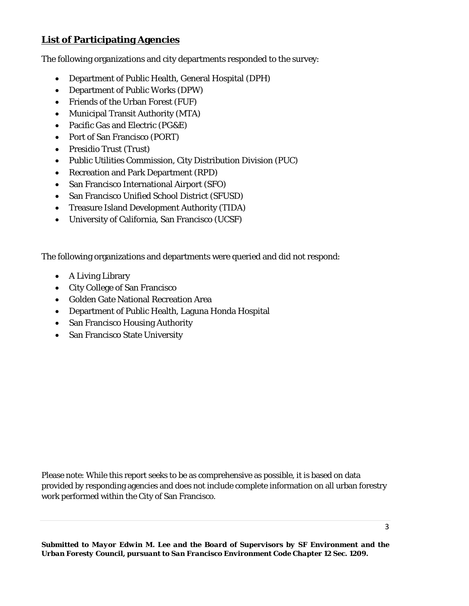## **List of Participating Agencies**

The following organizations and city departments responded to the survey:

- Department of Public Health, General Hospital (DPH)
- Department of Public Works (DPW)
- Friends of the Urban Forest (FUF)
- Municipal Transit Authority (MTA)
- Pacific Gas and Electric (PG&E)
- Port of San Francisco (PORT)
- Presidio Trust (Trust)
- Public Utilities Commission, City Distribution Division (PUC)
- Recreation and Park Department (RPD)
- San Francisco International Airport (SFO)
- San Francisco Unified School District (SFUSD)
- Treasure Island Development Authority (TIDA)
- University of California, San Francisco (UCSF)

The following organizations and departments were queried and did not respond:

- A Living Library
- City College of San Francisco
- Golden Gate National Recreation Area
- Department of Public Health, Laguna Honda Hospital
- San Francisco Housing Authority
- San Francisco State University

Please note: While this report seeks to be as comprehensive as possible, it is based on data provided by responding agencies and does not include complete information on all urban forestry work performed within the City of San Francisco.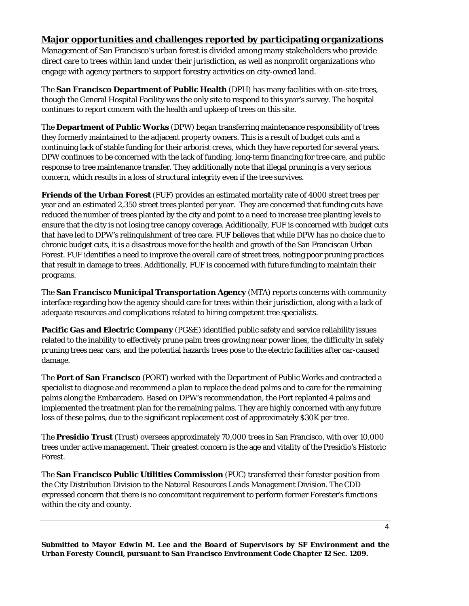## **Major opportunities and challenges reported by participating organizations**

Management of San Francisco's urban forest is divided among many stakeholders who provide direct care to trees within land under their jurisdiction, as well as nonprofit organizations who engage with agency partners to support forestry activities on city-owned land.

The **San Francisco Department of Public Health** (DPH) has many facilities with on-site trees, though the General Hospital Facility was the only site to respond to this year's survey. The hospital continues to report concern with the health and upkeep of trees on this site.

The **Department of Public Works** (DPW) began transferring maintenance responsibility of trees they formerly maintained to the adjacent property owners. This is a result of budget cuts and a continuing lack of stable funding for their arborist crews, which they have reported for several years. DPW continues to be concerned with the lack of funding, long-term financing for tree care, and public response to tree maintenance transfer. They additionally note that illegal pruning is a very serious concern, which results in a loss of structural integrity even if the tree survives.

**Friends of the Urban Forest** (FUF) provides an estimated mortality rate of 4000 street trees per year and an estimated 2,350 street trees planted per year. They are concerned that funding cuts have reduced the number of trees planted by the city and point to a need to increase tree planting levels to ensure that the city is not losing tree canopy coverage. Additionally, FUF is concerned with budget cuts that have led to DPW's relinquishment of tree care. FUF believes that while DPW has no choice due to chronic budget cuts, it is a disastrous move for the health and growth of the San Franciscan Urban Forest. FUF identifies a need to improve the overall care of street trees, noting poor pruning practices that result in damage to trees. Additionally, FUF is concerned with future funding to maintain their programs.

The **San Francisco Municipal Transportation Agency** (MTA) reports concerns with community interface regarding how the agency should care for trees within their jurisdiction, along with a lack of adequate resources and complications related to hiring competent tree specialists.

**Pacific Gas and Electric Company** (PG&E) identified public safety and service reliability issues related to the inability to effectively prune palm trees growing near power lines, the difficulty in safely pruning trees near cars, and the potential hazards trees pose to the electric facilities after car-caused damage.

The **Port of San Francisco** (PORT) worked with the Department of Public Works and contracted a specialist to diagnose and recommend a plan to replace the dead palms and to care for the remaining palms along the Embarcadero. Based on DPW's recommendation, the Port replanted 4 palms and implemented the treatment plan for the remaining palms. They are highly concerned with any future loss of these palms, due to the significant replacement cost of approximately \$30K per tree.

The **Presidio Trust** (Trust) oversees approximately 70,000 trees in San Francisco, with over 10,000 trees under active management. Their greatest concern is the age and vitality of the Presidio's Historic Forest.

The **San Francisco Public Utilities Commission** (PUC) transferred their forester position from the City Distribution Division to the Natural Resources Lands Management Division. The CDD expressed concern that there is no concomitant requirement to perform former Forester's functions within the city and county.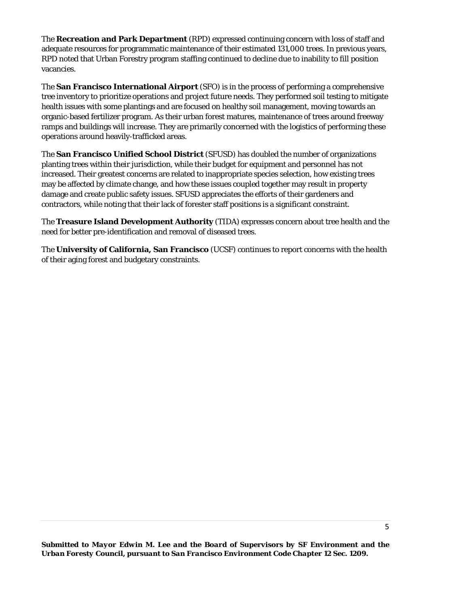The **Recreation and Park Department** (RPD) expressed continuing concern with loss of staff and adequate resources for programmatic maintenance of their estimated 131,000 trees. In previous years, RPD noted that Urban Forestry program staffing continued to decline due to inability to fill position vacancies.

The **San Francisco International Airport** (SFO) is in the process of performing a comprehensive tree inventory to prioritize operations and project future needs. They performed soil testing to mitigate health issues with some plantings and are focused on healthy soil management, moving towards an organic-based fertilizer program. As their urban forest matures, maintenance of trees around freeway ramps and buildings will increase. They are primarily concerned with the logistics of performing these operations around heavily-trafficked areas.

The **San Francisco Unified School District** (SFUSD) has doubled the number of organizations planting trees within their jurisdiction, while their budget for equipment and personnel has not increased. Their greatest concerns are related to inappropriate species selection, how existing trees may be affected by climate change, and how these issues coupled together may result in property damage and create public safety issues. SFUSD appreciates the efforts of their gardeners and contractors, while noting that their lack of forester staff positions is a significant constraint.

The **Treasure Island Development Authority** (TIDA) expresses concern about tree health and the need for better pre-identification and removal of diseased trees.

The **University of California, San Francisco** (UCSF) continues to report concerns with the health of their aging forest and budgetary constraints.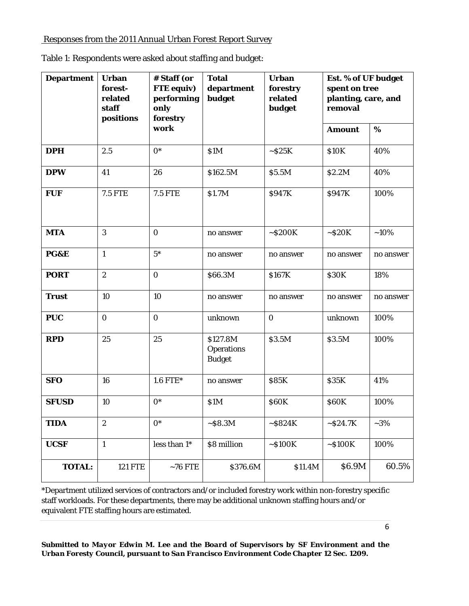Responses from the 2011 Annual Urban Forest Report Survey

| <b>Department</b> | <b>Urban</b><br>forest-<br>related<br>staff<br>positions | # Staff (or<br><b>FTE</b> equiv)<br>performing<br>only<br>forestry | <b>Total</b><br>department<br>budget           | <b>Urban</b><br>forestry<br>related<br>budget | Est. % of UF budget<br>spent on tree<br>planting, care, and<br>removal |           |
|-------------------|----------------------------------------------------------|--------------------------------------------------------------------|------------------------------------------------|-----------------------------------------------|------------------------------------------------------------------------|-----------|
|                   |                                                          | work                                                               |                                                |                                               | <b>Amount</b>                                                          | %         |
| <b>DPH</b>        | 2.5                                                      | $0^*$                                                              | \$1M                                           | $\sim$ S25K                                   | <b>\$10K</b>                                                           | 40%       |
| <b>DPW</b>        | 41                                                       | 26                                                                 | \$162.5M                                       | \$5.5M                                        | \$2.2M                                                                 | 40%       |
| <b>FUF</b>        | <b>7.5 FTE</b>                                           | <b>7.5 FTE</b>                                                     | \$1.7M                                         | \$947K                                        | \$947K                                                                 | 100%      |
| <b>MTA</b>        | 3                                                        | $\mathbf{0}$                                                       | no answer                                      | ~5200K                                        | ~520K                                                                  | $~10\%$   |
| PG&E              | $\mathbf{1}$                                             | $5*$                                                               | no answer                                      | no answer                                     | no answer                                                              | no answer |
| <b>PORT</b>       | $\boldsymbol{2}$                                         | $\mathbf{0}$                                                       | <b>S66.3M</b>                                  | \$167K                                        | <b>\$30K</b>                                                           | 18%       |
| <b>Trust</b>      | 10                                                       | 10                                                                 | no answer                                      | no answer                                     | no answer                                                              | no answer |
| <b>PUC</b>        | $\bf{0}$                                                 | $\bf{0}$                                                           | unknown                                        | $\bf{0}$                                      | unknown                                                                | 100%      |
| <b>RPD</b>        | 25                                                       | 25                                                                 | \$127.8M<br><b>Operations</b><br><b>Budget</b> | \$3.5M                                        | \$3.5M                                                                 | 100%      |
| <b>SFO</b>        | 16                                                       | 1.6 FTE*                                                           | no answer                                      | <b>S85K</b>                                   | <b>\$35K</b>                                                           | 41%       |
| <b>SFUSD</b>      | 10                                                       | $0*$                                                               | \$1M                                           | <b>\$60K</b>                                  | <b>\$60K</b>                                                           | 100%      |
| <b>TIDA</b>       | $\boldsymbol{2}$                                         | $0*$                                                               | $\sim$ $S8.3M$                                 | ~5824K                                        | $~-$ \$24.7K                                                           | $~10-3\%$ |
| <b>UCSF</b>       | $\mathbf{1}$                                             | less than $1^*$                                                    | \$8 million                                    | ~5100K                                        | ~5100K                                                                 | 100%      |
| <b>TOTAL:</b>     | <b>121 FTE</b>                                           | $~10$ FTE                                                          | \$376.6M                                       | \$11.4M                                       | \$6.9M                                                                 | 60.5%     |

Table 1: Respondents were asked about staffing and budget:

\*Department utilized services of contractors and/or included forestry work within non-forestry specific staff workloads. For these departments, there may be additional unknown staffing hours and/or equivalent FTE staffing hours are estimated.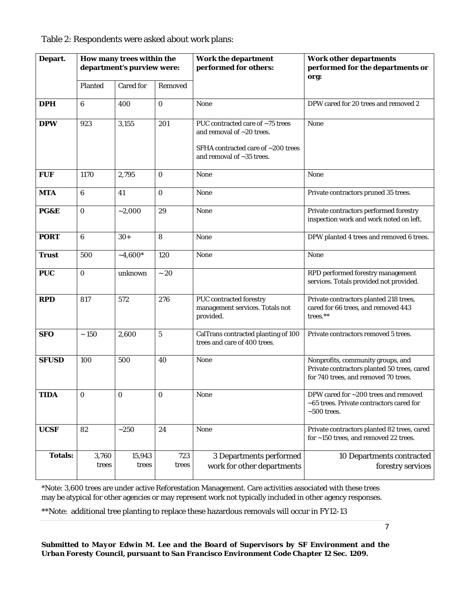| Depart.        | How many trees within the<br>department's purview were: |                  |                  | <b>Work the department</b><br>performed for others:                                                                              | <b>Work other departments</b><br>performed for the departments or<br>org:                                                |  |
|----------------|---------------------------------------------------------|------------------|------------------|----------------------------------------------------------------------------------------------------------------------------------|--------------------------------------------------------------------------------------------------------------------------|--|
|                | Planted                                                 | <b>Cared for</b> | Removed          |                                                                                                                                  |                                                                                                                          |  |
| <b>DPH</b>     | $6\phantom{1}$                                          | 400              | $\bf{0}$         | None                                                                                                                             | DPW cared for 20 trees and removed 2                                                                                     |  |
| <b>DPW</b>     | 923                                                     | 3,155            | 201              | PUC contracted care of ~75 trees<br>and removal of ~20 trees.<br>SFHA contracted care of ~200 trees<br>and removal of ~35 trees. | None                                                                                                                     |  |
| <b>FUF</b>     | 1170                                                    | 2,795            | $\bf{0}$         | None                                                                                                                             | None                                                                                                                     |  |
| <b>MTA</b>     | $6\phantom{1}$                                          | 41               | $\bf{0}$         | None                                                                                                                             | Private contractors pruned 35 trees.                                                                                     |  |
| PG&E           | $\bf{0}$                                                | $-2,000$         | 29               | None                                                                                                                             | Private contractors performed forestry<br>inspection work and work noted on left.                                        |  |
| <b>PORT</b>    | $6\phantom{1}$                                          | $30+$            | 8                | None                                                                                                                             | DPW planted 4 trees and removed 6 trees.                                                                                 |  |
| <b>Trust</b>   | 500                                                     | $-4,600*$        | 120              | None                                                                                                                             | None                                                                                                                     |  |
| <b>PUC</b>     | $\bf{0}$                                                | unknown          | $\sim 20$        |                                                                                                                                  | RPD performed forestry management<br>services. Totals provided not provided.                                             |  |
| <b>RPD</b>     | 817                                                     | 572              | 276              | <b>PUC</b> contracted forestry<br>management services. Totals not<br>provided.                                                   | Private contractors planted 218 trees,<br>cared for 66 trees, and removed 443<br>trees.**                                |  |
| <b>SFO</b>     | $\sim 150$                                              | 2,600            | 5                | CalTrans contracted planting of 100<br>trees and care of 400 trees.                                                              | Private contractors removed 5 trees.                                                                                     |  |
| <b>SFUSD</b>   | 100                                                     | 500              | 40               | <b>None</b>                                                                                                                      | Nonprofits, community groups, and<br>Private contractors planted 50 trees, cared<br>for 740 trees, and removed 70 trees. |  |
| <b>TIDA</b>    | $\bf{0}$                                                | $\boldsymbol{0}$ | $\boldsymbol{0}$ | None                                                                                                                             | DPW cared for ~200 trees and removed<br>~65 trees. Private contractors cared for<br>$~500$ trees.                        |  |
| <b>UCSF</b>    | 82                                                      | $\sim\!\!250$    | 24               | None                                                                                                                             | Private contractors planted 82 trees, cared<br>for ~150 trees, and removed 22 trees.                                     |  |
| <b>Totals:</b> | 3,760<br>trees                                          | 15,943<br>trees  | 723<br>trees     | 3 Departments performed<br>work for other departments                                                                            | 10 Departments contracted<br>forestry services                                                                           |  |

Table 2: Respondents were asked about work plans:

\*Note: 3,600 trees are under active Reforestation Management. Care activities associated with these trees may be atypical for other agencies or may represent work not typically included in other agency responses.

\*\*Note: additional tree planting to replace these hazardous removals will occur in FY12-13

 $\mathsf{l}$ 

7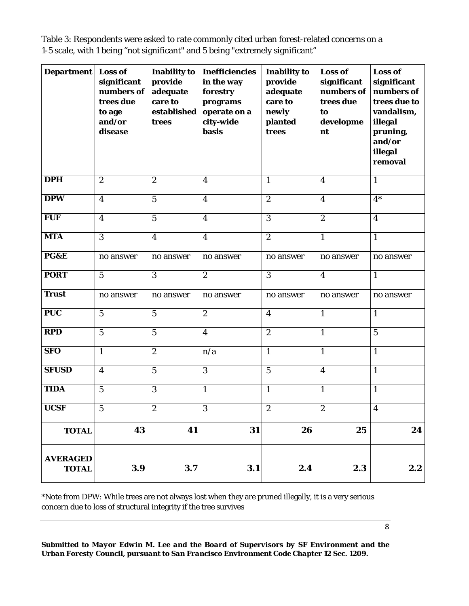Table 3: Respondents were asked to rate commonly cited urban forest-related concerns on a 1-5 scale, with 1 being "not significant" and 5 being "extremely significant"

| <b>Department</b>   Loss of     | significant<br>numbers of<br>trees due<br>to age<br>and/or<br>disease | <b>Inability to</b><br>provide<br>adequate<br>care to<br>established<br>trees | <b>Inefficiencies</b><br>in the way<br>forestry<br>programs<br>operate on a<br>city-wide<br><b>basis</b> | <b>Inability to</b><br>provide<br>adequate<br>care to<br>newly<br>planted<br>trees | Loss of<br>significant<br>numbers of<br>trees due<br>to<br>developme<br>nt | Loss of<br>significant<br>numbers of<br>trees due to<br>vandalism,<br>illegal<br>pruning,<br>and/or<br>illegal<br>removal |
|---------------------------------|-----------------------------------------------------------------------|-------------------------------------------------------------------------------|----------------------------------------------------------------------------------------------------------|------------------------------------------------------------------------------------|----------------------------------------------------------------------------|---------------------------------------------------------------------------------------------------------------------------|
| <b>DPH</b>                      | $\boldsymbol{2}$                                                      | $\boldsymbol{2}$                                                              | $\overline{\mathbf{4}}$                                                                                  | $\mathbf{1}$                                                                       | $\overline{\mathbf{4}}$                                                    | $\mathbf{1}$                                                                                                              |
| <b>DPW</b>                      | $\overline{\mathbf{4}}$                                               | $\overline{5}$                                                                | $\overline{\mathbf{4}}$                                                                                  | $\boldsymbol{2}$                                                                   | $\boldsymbol{4}$                                                           | $4*$                                                                                                                      |
| <b>FUF</b>                      | $\overline{\mathbf{4}}$                                               | $\overline{5}$                                                                | $\overline{\mathbf{4}}$                                                                                  | $\overline{3}$                                                                     | $\overline{2}$                                                             | $\boldsymbol{4}$                                                                                                          |
| <b>MTA</b>                      | $\overline{3}$                                                        | $\boldsymbol{4}$                                                              | $\overline{\mathbf{4}}$                                                                                  | $\boldsymbol{2}$                                                                   | $\mathbf{1}$                                                               | $\mathbf{1}$                                                                                                              |
| PG&E                            | no answer                                                             | no answer                                                                     | no answer                                                                                                | no answer                                                                          | no answer                                                                  | no answer                                                                                                                 |
| <b>PORT</b>                     | $5\phantom{.0}$                                                       | 3                                                                             | $\overline{2}$                                                                                           | 3                                                                                  | $\boldsymbol{4}$                                                           | $\mathbf{1}$                                                                                                              |
| <b>Trust</b>                    | no answer                                                             | no answer                                                                     | no answer                                                                                                | no answer                                                                          | no answer                                                                  | no answer                                                                                                                 |
| <b>PUC</b>                      | $\overline{5}$                                                        | $\mathbf{5}$                                                                  | $\boldsymbol{2}$                                                                                         | $\overline{\mathbf{4}}$                                                            | $\mathbf{1}$                                                               | $\mathbf{1}$                                                                                                              |
| <b>RPD</b>                      | $\overline{5}$                                                        | $\overline{5}$                                                                | $\overline{\mathbf{4}}$                                                                                  | $\boldsymbol{2}$                                                                   | $\mathbf{1}$                                                               | $\overline{5}$                                                                                                            |
| <b>SFO</b>                      | $\mathbf{1}$                                                          | $\overline{2}$                                                                | n/a                                                                                                      | $\mathbf{1}$                                                                       | $\mathbf{1}$                                                               | $\mathbf{1}$                                                                                                              |
| <b>SFUSD</b>                    | $\overline{\mathbf{4}}$                                               | $\mathbf 5$                                                                   | 3                                                                                                        | $\overline{5}$                                                                     | $\overline{\mathbf{4}}$                                                    | $\mathbf{1}$                                                                                                              |
| <b>TIDA</b>                     | $\overline{5}$                                                        | 3                                                                             | $\mathbf{1}$                                                                                             | $\mathbf{1}$                                                                       | $\mathbf{1}$                                                               | $\mathbf{1}$                                                                                                              |
| <b>UCSF</b>                     | $\mathbf 5$                                                           | 2                                                                             | 3                                                                                                        | $\boldsymbol{2}$                                                                   | $\boldsymbol{2}$                                                           | $\boldsymbol{4}$                                                                                                          |
| <b>TOTAL</b>                    | 43                                                                    | 41                                                                            | 31                                                                                                       | 26                                                                                 | 25                                                                         | 24                                                                                                                        |
| <b>AVERAGED</b><br><b>TOTAL</b> | 3.9                                                                   | 3.7                                                                           | 3.1                                                                                                      | 2.4                                                                                | 2.3                                                                        | 2.2                                                                                                                       |

\*Note from DPW: While trees are not always lost when they are pruned illegally, it is a very serious concern due to loss of structural integrity if the tree survives

*Submitted to Mayor Edwin M. Lee and the Board of Supervisors by SF Environment and the Urban Foresty Council, pursuant to San Francisco Environment Code Chapter 12 Sec. 1209.* 

8